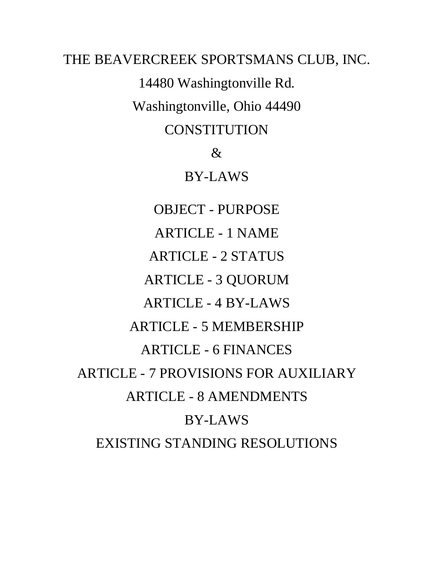THE BEAVERCREEK SPORTSMANS CLUB, INC. 14480 Washingtonville Rd. Washingtonville, Ohio 44490 CONSTITUTION & BY-LAWS OBJECT - PURPOSE ARTICLE - 1 NAME ARTICLE - 2 STATUS ARTICLE - 3 QUORUM ARTICLE - 4 BY-LAWS ARTICLE - 5 MEMBERSHIP ARTICLE - 6 FINANCES ARTICLE - 7 PROVISIONS FOR AUXILIARY ARTICLE - 8 AMENDMENTS BY-LAWS EXISTING STANDING RESOLUTIONS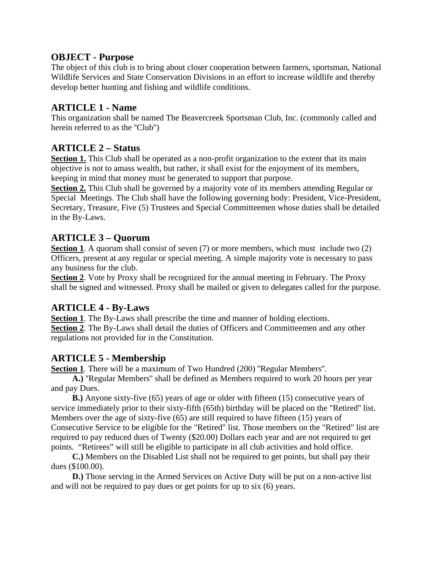### **OBJECT - Purpose**

The object of this club is to bring about closer cooperation between farmers, sportsman, National Wildlife Services and State Conservation Divisions in an effort to increase wildlife and thereby develop better hunting and fishing and wildlife conditions.

### **ARTICLE 1 - Name**

This organization shall be named The Beavercreek Sportsman Club, Inc. (commonly called and herein referred to as the ''Club'')

## **ARTICLE 2 – Status**

**Section 1.** This Club shall be operated as a non-profit organization to the extent that its main objective is not to amass wealth, but rather, it shall exist for the enjoyment of its members, keeping in mind that money must be generated to support that purpose.

**Section 2.** This Club shall be governed by a majority vote of its members attending Regular or Special Meetings. The Club shall have the following governing body: President, Vice-President, Secretary, Treasure, Five (5) Trustees and Special Committeemen whose duties shall be detailed in the By-Laws.

## **ARTICLE 3 – Quorum**

**Section 1**. A quorum shall consist of seven (7) or more members, which must include two (2) Officers, present at any regular or special meeting. A simple majority vote is necessary to pass any business for the club.

**Section 2**. Vote by Proxy shall be recognized for the annual meeting in February. The Proxy shall be signed and witnessed. Proxy shall be mailed or given to delegates called for the purpose.

## **ARTICLE 4 - By-Laws**

**Section 1**. The By-Laws shall prescribe the time and manner of holding elections. **Section 2**. The By-Laws shall detail the duties of Officers and Committeemen and any other regulations not provided for in the Constitution.

## **ARTICLE 5 - Membership**

**Section 1**. There will be a maximum of Two Hundred (200) ''Regular Members''.

 **A.)** ''Regular Members'' shall be defined as Members required to work 20 hours per year and pay Dues.

 **B.)** Anyone sixty-five (65) years of age or older with fifteen (15) consecutive years of service immediately prior to their sixty-fifth (65th) birthday will be placed on the "Retired'' list. Members over the age of sixty-five (65) are still required to have fifteen (15) years of Consecutive Service to be eligible for the "Retired" list. Those members on the "Retired" list are required to pay reduced dues of Twenty (\$20.00) Dollars each year and are not required to get points. "Retirees" will still be eligible to participate in all club activities and hold office.

 **C.)** Members on the Disabled List shall not be required to get points, but shall pay their dues (\$100.00).

**D.**) Those serving in the Armed Services on Active Duty will be put on a non-active list and will not be required to pay dues or get points for up to six (6) years.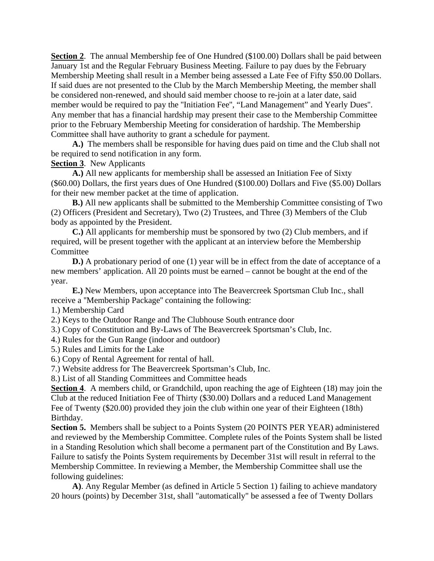**Section 2.** The annual Membership fee of One Hundred (\$100.00) Dollars shall be paid between January 1st and the Regular February Business Meeting. Failure to pay dues by the February Membership Meeting shall result in a Member being assessed a Late Fee of Fifty \$50.00 Dollars. If said dues are not presented to the Club by the March Membership Meeting, the member shall be considered non-renewed, and should said member choose to re-join at a later date, said member would be required to pay the ''Initiation Fee'', "Land Management" and Yearly Dues''. Any member that has a financial hardship may present their case to the Membership Committee prior to the February Membership Meeting for consideration of hardship. The Membership Committee shall have authority to grant a schedule for payment.

 **A.)** The members shall be responsible for having dues paid on time and the Club shall not be required to send notification in any form.

**Section 3**. New Applicants

 **A.)** All new applicants for membership shall be assessed an Initiation Fee of Sixty (\$60.00) Dollars, the first years dues of One Hundred (\$100.00) Dollars and Five (\$5.00) Dollars for their new member packet at the time of application.

 **B.)** All new applicants shall be submitted to the Membership Committee consisting of Two (2) Officers (President and Secretary), Two (2) Trustees, and Three (3) Members of the Club body as appointed by the President.

 **C.)** All applicants for membership must be sponsored by two (2) Club members, and if required, will be present together with the applicant at an interview before the Membership Committee

**D.**) A probationary period of one (1) year will be in effect from the date of acceptance of a new members' application. All 20 points must be earned – cannot be bought at the end of the year.

 **E.)** New Members, upon acceptance into The Beavercreek Sportsman Club Inc., shall receive a ''Membership Package'' containing the following:

1.) Membership Card

2.) Keys to the Outdoor Range and The Clubhouse South entrance door

3.) Copy of Constitution and By-Laws of The Beavercreek Sportsman's Club, Inc.

4.) Rules for the Gun Range (indoor and outdoor)

5.) Rules and Limits for the Lake

6.) Copy of Rental Agreement for rental of hall.

7.) Website address for The Beavercreek Sportsman's Club, Inc.

8.) List of all Standing Committees and Committee heads

**Section 4**. A members child, or Grandchild, upon reaching the age of Eighteen (18) may join the Club at the reduced Initiation Fee of Thirty (\$30.00) Dollars and a reduced Land Management Fee of Twenty (\$20.00) provided they join the club within one year of their Eighteen (18th) Birthday.

**Section 5.** Members shall be subject to a Points System (20 POINTS PER YEAR) administered and reviewed by the Membership Committee. Complete rules of the Points System shall be listed in a Standing Resolution which shall become a permanent part of the Constitution and By Laws. Failure to satisfy the Points System requirements by December 31st will result in referral to the Membership Committee. In reviewing a Member, the Membership Committee shall use the following guidelines:

 **A)**. Any Regular Member (as defined in Article 5 Section 1) failing to achieve mandatory 20 hours (points) by December 31st, shall "automatically" be assessed a fee of Twenty Dollars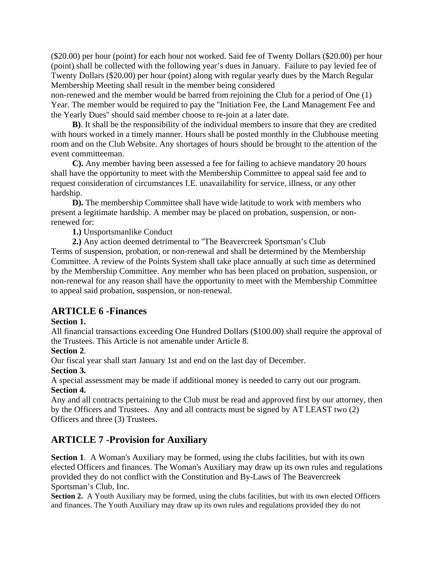(\$20.00) per hour (point) for each hour not worked. Said fee of Twenty Dollars (\$20.00) per hour (point) shall be collected with the following year's dues in January. Failure to pay levied fee of Twenty Dollars (\$20.00) per hour (point) along with regular yearly dues by the March Regular Membership Meeting shall result in the member being considered

non-renewed and the member would be barred from rejoining the Club for a period of One (1) Year. The member would be required to pay the ''Initiation Fee, the Land Management Fee and the Yearly Dues'' should said member choose to re-join at a later date.

 **B)**. It shall be the responsibility of the individual members to insure that they are credited with hours worked in a timely manner. Hours shall be posted monthly in the Clubhouse meeting room and on the Club Website. Any shortages of hours should be brought to the attention of the event committeeman.

 **C).** Any member having been assessed a fee for failing to achieve mandatory 20 hours shall have the opportunity to meet with the Membership Committee to appeal said fee and to request consideration of circumstances I.E. unavailability for service, illness, or any other hardship.

**D).** The membership Committee shall have wide latitude to work with members who present a legitimate hardship. A member may be placed on probation, suspension, or nonrenewed for:

 **1.)** Unsportsmanlike Conduct

 **2.)** Any action deemed detrimental to ''The Beavercreek Sportsman's Club

Terms of suspension, probation, or non-renewal and shall be determined by the Membership Committee. A review of the Points System shall take place annually at such time as determined by the Membership Committee. Any member who has been placed on probation, suspension, or non-renewal for any reason shall have the opportunity to meet with the Membership Committee to appeal said probation, suspension, or non-renewal.

## **ARTICLE 6 -Finances**

### **Section 1.**

All financial transactions exceeding One Hundred Dollars (\$100.00) shall require the approval of the Trustees. This Article is not amenable under Article 8.

### **Section 2**.

Our fiscal year shall start January 1st and end on the last day of December.

### **Section 3.**

A special assessment may be made if additional money is needed to carry out our program. **Section 4.**

Any and all contracts pertaining to the Club must be read and approved first by our attorney, then by the Officers and Trustees. Any and all contracts must be signed by AT LEAST two (2) Officers and three (3) Trustees.

# **ARTICLE 7 -Provision for Auxiliary**

**Section 1**. A Woman's Auxiliary may be formed, using the clubs facilities, but with its own elected Officers and finances. The Woman's Auxiliary may draw up its own rules and regulations provided they do not conflict with the Constitution and By-Laws of The Beavercreek Sportsman's Club, Inc.

**Section 2.** A Youth Auxiliary may be formed, using the clubs facilities, but with its own elected Officers and finances. The Youth Auxiliary may draw up its own rules and regulations provided they do not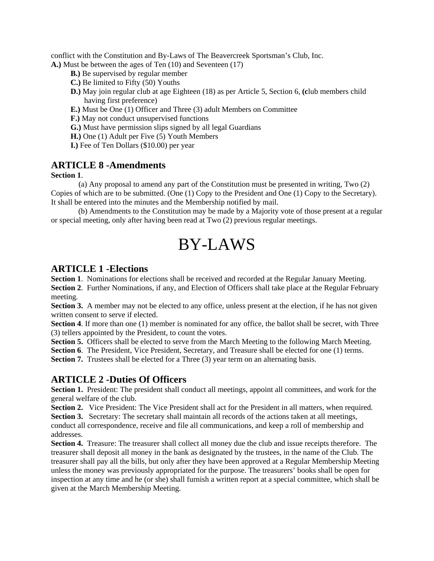conflict with the Constitution and By-Laws of The Beavercreek Sportsman's Club, Inc. **A.)** Must be between the ages of Ten (10) and Seventeen (17)

- **B.)** Be supervised by regular member
- **C.)** Be limited to Fifty (50) Youths
- **D.)** May join regular club at age Eighteen (18) as per Article 5, Section 6, **(c**lub members child having first preference)
- **E.)** Must be One (1) Officer and Three (3) adult Members on Committee
- **F.)** May not conduct unsupervised functions
- **G.)** Must have permission slips signed by all legal Guardians
- **H.)** One (1) Adult per Five (5) Youth Members
- **I.)** Fee of Ten Dollars (\$10.00) per year

### **ARTICLE 8 -Amendments**

#### **Section 1**.

 (a) Any proposal to amend any part of the Constitution must be presented in writing, Two (2) Copies of which are to be submitted. (One (1) Copy to the President and One (1) Copy to the Secretary). It shall be entered into the minutes and the Membership notified by mail.

 (b) Amendments to the Constitution may be made by a Majority vote of those present at a regular or special meeting, only after having been read at Two (2) previous regular meetings.

# BY-LAWS

### **ARTICLE 1 -Elections**

**Section 1**. Nominations for elections shall be received and recorded at the Regular January Meeting.

**Section 2.** Further Nominations, if any, and Election of Officers shall take place at the Regular February meeting.

**Section 3.** A member may not be elected to any office, unless present at the election, if he has not given written consent to serve if elected.

**Section 4**. If more than one (1) member is nominated for any office, the ballot shall be secret, with Three (3) tellers appointed by the President, to count the votes.

**Section 5.** Officers shall be elected to serve from the March Meeting to the following March Meeting.

**Section 6**. The President, Vice President, Secretary, and Treasure shall be elected for one (1) terms.

**Section 7.** Trustees shall be elected for a Three (3) year term on an alternating basis.

### **ARTICLE 2 -Duties Of Officers**

Section 1. President: The president shall conduct all meetings, appoint all committees, and work for the general welfare of the club.

**Section 2.** Vice President: The Vice President shall act for the President in all matters, when required.

**Section 3.** Secretary: The secretary shall maintain all records of the actions taken at all meetings, conduct all correspondence, receive and file all communications, and keep a roll of membership and addresses.

**Section 4.** Treasure: The treasurer shall collect all money due the club and issue receipts therefore. The treasurer shall deposit all money in the bank as designated by the trustees, in the name of the Club. The treasurer shall pay all the bills, but only after they have been approved at a Regular Membership Meeting unless the money was previously appropriated for the purpose. The treasurers' books shall be open for inspection at any time and he (or she) shall furnish a written report at a special committee, which shall be given at the March Membership Meeting.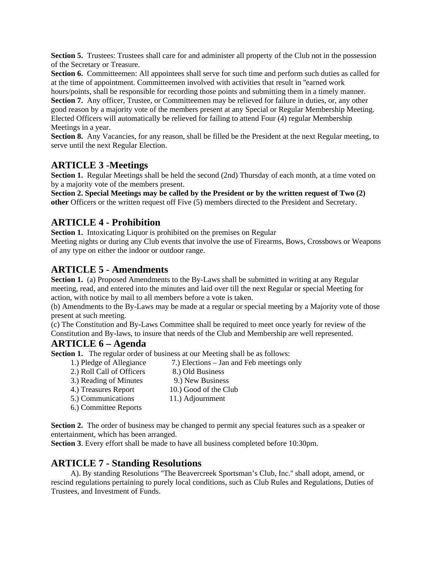**Section 5.** Trustees: Trustees shall care for and administer all property of the Club not in the possession of the Secretary or Treasure.

**Section 6.** Committeemen: All appointees shall serve for such time and perform such duties as called for at the time of appointment. Committeemen involved with activities that result in ''earned work

hours/points, shall be responsible for recording those points and submitting them in a timely manner. **Section 7.** Any officer, Trustee, or Committeemen may be relieved for failure in duties, or, any other good reason by a majority vote of the members present at any Special or Regular Membership Meeting. Elected Officers will automatically be relieved for failing to attend Four (4) regular Membership Meetings in a year.

**Section 8.** Any Vacancies, for any reason, shall be filled be the President at the next Regular meeting, to serve until the next Regular Election.

### **ARTICLE 3 -Meetings**

**Section 1.** Regular Meetings shall be held the second (2nd) Thursday of each month, at a time voted on by a majority vote of the members present.

**Section 2. Special Meetings may be called by the President or by the written request of Two (2) other** Officers or the written request off Five (5) members directed to the President and Secretary.

## **ARTICLE 4 - Prohibition**

**Section 1.** Intoxicating Liquor is prohibited on the premises on Regular

Meeting nights or during any Club events that involve the use of Firearms, Bows, Crossbows or Weapons of any type on either the indoor or outdoor range.

### **ARTICLE 5 - Amendments**

Section 1. (a) Proposed Amendments to the By-Laws shall be submitted in writing at any Regular meeting, read, and entered into the minutes and laid over till the next Regular or special Meeting for action, with notice by mail to all members before a vote is taken.

(b) Amendments to the By-Laws may be made at a regular or special meeting by a Majority vote of those present at such meeting.

(c) The Constitution and By-Laws Committee shall be required to meet once yearly for review of the Constitution and By-laws, to insure that needs of the Club and Membership are well represented.

## **ARTICLE 6 – Agenda**

**Section 1.** The regular order of business at our Meeting shall be as follows:

 1.) Pledge of Allegiance 7.) Elections – Jan and Feb meetings only 2.) Roll Call of Officers 8.) Old Business 3.) Reading of Minutes 9.) New Business 4.) Treasures Report 10.) Good of the Club 5.) Communications 11.) Adjournment 6.) Committee Reports

**Section 2.** The order of business may be changed to permit any special features such as a speaker or entertainment, which has been arranged.

**Section 3**. Every effort shall be made to have all business completed before 10:30pm.

# **ARTICLE 7 - Standing Resolutions**

 A). By standing Resolutions ''The Beavercreek Sportsman's Club, Inc.'' shall adopt, amend, or rescind regulations pertaining to purely local conditions, such as Club Rules and Regulations, Duties of Trustees, and Investment of Funds.